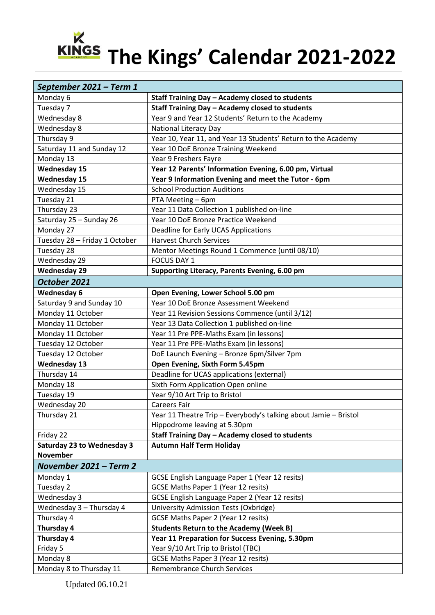## **The Kings' Calendar 2021-2022**

| September 2021 - Term 1           |                                                                  |
|-----------------------------------|------------------------------------------------------------------|
| Monday 6                          | Staff Training Day - Academy closed to students                  |
| Tuesday 7                         | Staff Training Day - Academy closed to students                  |
| Wednesday 8                       | Year 9 and Year 12 Students' Return to the Academy               |
| Wednesday 8                       | <b>National Literacy Day</b>                                     |
| Thursday 9                        | Year 10, Year 11, and Year 13 Students' Return to the Academy    |
| Saturday 11 and Sunday 12         | Year 10 DoE Bronze Training Weekend                              |
| Monday 13                         | Year 9 Freshers Fayre                                            |
| <b>Wednesday 15</b>               | Year 12 Parents' Information Evening, 6.00 pm, Virtual           |
| <b>Wednesday 15</b>               | Year 9 Information Evening and meet the Tutor - 6pm              |
| Wednesday 15                      | <b>School Production Auditions</b>                               |
| Tuesday 21                        | PTA Meeting - 6pm                                                |
| Thursday 23                       | Year 11 Data Collection 1 published on-line                      |
| Saturday 25 - Sunday 26           | Year 10 DoE Bronze Practice Weekend                              |
| Monday 27                         | Deadline for Early UCAS Applications                             |
| Tuesday 28 - Friday 1 October     | <b>Harvest Church Services</b>                                   |
| Tuesday 28                        | Mentor Meetings Round 1 Commence (until 08/10)                   |
| Wednesday 29                      | <b>FOCUS DAY 1</b>                                               |
| <b>Wednesday 29</b>               | Supporting Literacy, Parents Evening, 6.00 pm                    |
| October 2021                      |                                                                  |
| <b>Wednesday 6</b>                | Open Evening, Lower School 5.00 pm                               |
| Saturday 9 and Sunday 10          | Year 10 DoE Bronze Assessment Weekend                            |
| Monday 11 October                 | Year 11 Revision Sessions Commence (until 3/12)                  |
| Monday 11 October                 | Year 13 Data Collection 1 published on-line                      |
| Monday 11 October                 | Year 11 Pre PPE-Maths Exam (in lessons)                          |
| Tuesday 12 October                | Year 11 Pre PPE-Maths Exam (in lessons)                          |
| Tuesday 12 October                | DoE Launch Evening - Bronze 6pm/Silver 7pm                       |
| <b>Wednesday 13</b>               | Open Evening, Sixth Form 5.45pm                                  |
| Thursday 14                       | Deadline for UCAS applications (external)                        |
| Monday 18                         | Sixth Form Application Open online                               |
| Tuesday 19                        | Year 9/10 Art Trip to Bristol                                    |
| Wednesday 20                      | <b>Careers Fair</b>                                              |
| Thursday 21                       | Year 11 Theatre Trip - Everybody's talking about Jamie - Bristol |
|                                   | Hippodrome leaving at 5.30pm                                     |
| Friday 22                         | Staff Training Day - Academy closed to students                  |
| <b>Saturday 23 to Wednesday 3</b> | <b>Autumn Half Term Holiday</b>                                  |
| <b>November</b>                   |                                                                  |
| November 2021 - Term 2            |                                                                  |
| Monday 1                          | GCSE English Language Paper 1 (Year 12 resits)                   |
| Tuesday 2                         | GCSE Maths Paper 1 (Year 12 resits)                              |
| Wednesday 3                       | GCSE English Language Paper 2 (Year 12 resits)                   |
| Wednesday 3 - Thursday 4          | University Admission Tests (Oxbridge)                            |
| Thursday 4                        | GCSE Maths Paper 2 (Year 12 resits)                              |
| Thursday 4                        | <b>Students Return to the Academy (Week B)</b>                   |
| Thursday 4                        | Year 11 Preparation for Success Evening, 5.30pm                  |
| Friday 5                          | Year 9/10 Art Trip to Bristol (TBC)                              |
| Monday 8                          | <b>GCSE Maths Paper 3 (Year 12 resits)</b>                       |
| Monday 8 to Thursday 11           | <b>Remembrance Church Services</b>                               |

Updated 06.10.21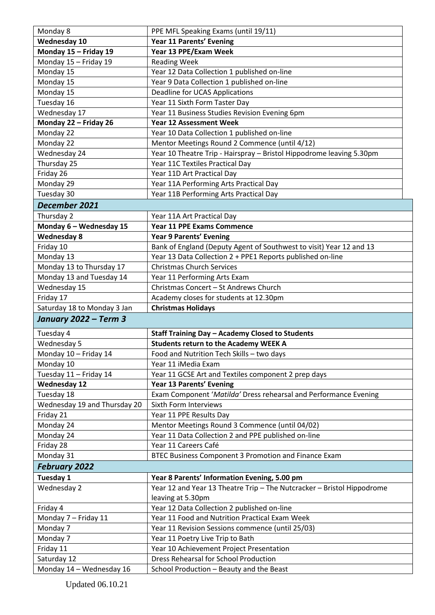| Monday 8                     | PPE MFL Speaking Exams (until 19/11)                                   |
|------------------------------|------------------------------------------------------------------------|
| <b>Wednesday 10</b>          | Year 11 Parents' Evening                                               |
| Monday 15 - Friday 19        | Year 13 PPE/Exam Week                                                  |
| Monday 15 - Friday 19        | <b>Reading Week</b>                                                    |
| Monday 15                    | Year 12 Data Collection 1 published on-line                            |
| Monday 15                    | Year 9 Data Collection 1 published on-line                             |
| Monday 15                    | Deadline for UCAS Applications                                         |
| Tuesday 16                   | Year 11 Sixth Form Taster Day                                          |
| Wednesday 17                 | Year 11 Business Studies Revision Evening 6pm                          |
| Monday 22 - Friday 26        | <b>Year 12 Assessment Week</b>                                         |
| Monday 22                    | Year 10 Data Collection 1 published on-line                            |
| Monday 22                    | Mentor Meetings Round 2 Commence (until 4/12)                          |
| Wednesday 24                 | Year 10 Theatre Trip - Hairspray - Bristol Hippodrome leaving 5.30pm   |
| Thursday 25                  | Year 11C Textiles Practical Day                                        |
| Friday 26                    | Year 11D Art Practical Day                                             |
| Monday 29                    | Year 11A Performing Arts Practical Day                                 |
| Tuesday 30                   | Year 11B Performing Arts Practical Day                                 |
| December 2021                |                                                                        |
| Thursday 2                   | Year 11A Art Practical Day                                             |
| Monday 6 - Wednesday 15      | <b>Year 11 PPE Exams Commence</b>                                      |
| <b>Wednesday 8</b>           | <b>Year 9 Parents' Evening</b>                                         |
| Friday 10                    | Bank of England (Deputy Agent of Southwest to visit) Year 12 and 13    |
| Monday 13                    | Year 13 Data Collection 2 + PPE1 Reports published on-line             |
| Monday 13 to Thursday 17     | <b>Christmas Church Services</b>                                       |
| Monday 13 and Tuesday 14     | Year 11 Performing Arts Exam                                           |
| Wednesday 15                 | Christmas Concert - St Andrews Church                                  |
| Friday 17                    | Academy closes for students at 12.30pm                                 |
| Saturday 18 to Monday 3 Jan  | <b>Christmas Holidays</b>                                              |
| January 2022 - Term 3        |                                                                        |
|                              |                                                                        |
| Tuesday 4                    | <b>Staff Training Day - Academy Closed to Students</b>                 |
| Wednesday 5                  | <b>Students return to the Academy WEEK A</b>                           |
| Monday 10 - Friday 14        | Food and Nutrition Tech Skills - two days                              |
| Monday 10                    | Year 11 iMedia Exam                                                    |
| Tuesday 11 - Friday 14       | Year 11 GCSE Art and Textiles component 2 prep days                    |
| <b>Wednesday 12</b>          | Year 13 Parents' Evening                                               |
| Tuesday 18                   | Exam Component 'Matilda' Dress rehearsal and Performance Evening       |
| Wednesday 19 and Thursday 20 | Sixth Form Interviews                                                  |
| Friday 21                    | Year 11 PPE Results Day                                                |
| Monday 24                    | Mentor Meetings Round 3 Commence (until 04/02)                         |
| Monday 24                    | Year 11 Data Collection 2 and PPE published on-line                    |
| Friday 28                    | Year 11 Careers Café                                                   |
| Monday 31                    | BTEC Business Component 3 Promotion and Finance Exam                   |
| <b>February 2022</b>         |                                                                        |
| Tuesday 1                    | Year 8 Parents' Information Evening, 5.00 pm                           |
| Wednesday 2                  | Year 12 and Year 13 Theatre Trip - The Nutcracker - Bristol Hippodrome |
|                              | leaving at 5.30pm                                                      |
| Friday 4                     | Year 12 Data Collection 2 published on-line                            |
| Monday 7 - Friday 11         | Year 11 Food and Nutrition Practical Exam Week                         |
| Monday 7                     | Year 11 Revision Sessions commence (until 25/03)                       |
| Monday 7                     | Year 11 Poetry Live Trip to Bath                                       |
| Friday 11                    | Year 10 Achievement Project Presentation                               |
| Saturday 12                  | <b>Dress Rehearsal for School Production</b>                           |
| Monday 14 - Wednesday 16     | School Production - Beauty and the Beast                               |

Updated 06.10.21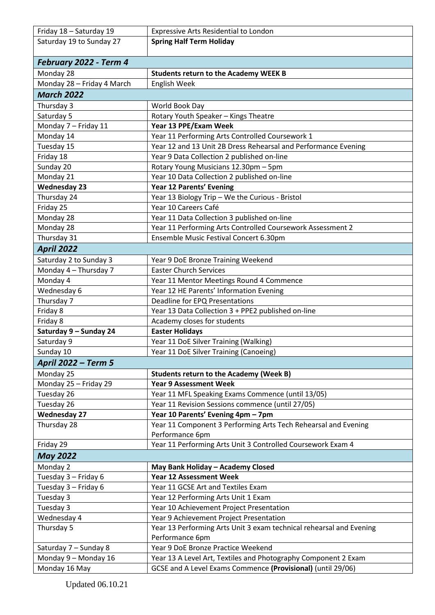| Friday 18 - Saturday 19    | <b>Expressive Arts Residential to London</b>                        |
|----------------------------|---------------------------------------------------------------------|
| Saturday 19 to Sunday 27   | <b>Spring Half Term Holiday</b>                                     |
| February 2022 - Term 4     |                                                                     |
| Monday 28                  | <b>Students return to the Academy WEEK B</b>                        |
| Monday 28 - Friday 4 March | English Week                                                        |
| <b>March 2022</b>          |                                                                     |
| Thursday 3                 | World Book Day                                                      |
| Saturday 5                 | Rotary Youth Speaker - Kings Theatre                                |
| Monday 7 - Friday 11       | Year 13 PPE/Exam Week                                               |
| Monday 14                  | Year 11 Performing Arts Controlled Coursework 1                     |
| Tuesday 15                 | Year 12 and 13 Unit 2B Dress Rehearsal and Performance Evening      |
| Friday 18                  | Year 9 Data Collection 2 published on-line                          |
| Sunday 20                  | Rotary Young Musicians 12.30pm - 5pm                                |
| Monday 21                  | Year 10 Data Collection 2 published on-line                         |
| <b>Wednesday 23</b>        | Year 12 Parents' Evening                                            |
| Thursday 24                | Year 13 Biology Trip - We the Curious - Bristol                     |
| Friday 25                  | Year 10 Careers Café                                                |
| Monday 28                  | Year 11 Data Collection 3 published on-line                         |
| Monday 28                  | Year 11 Performing Arts Controlled Coursework Assessment 2          |
| Thursday 31                | Ensemble Music Festival Concert 6.30pm                              |
| <b>April 2022</b>          |                                                                     |
| Saturday 2 to Sunday 3     | Year 9 DoE Bronze Training Weekend                                  |
| Monday 4 - Thursday 7      | <b>Easter Church Services</b>                                       |
| Monday 4                   | Year 11 Mentor Meetings Round 4 Commence                            |
| Wednesday 6                | Year 12 HE Parents' Information Evening                             |
| Thursday 7                 | Deadline for EPQ Presentations                                      |
| Friday 8                   | Year 13 Data Collection 3 + PPE2 published on-line                  |
| Friday 8                   | Academy closes for students                                         |
| Saturday 9 - Sunday 24     | <b>Easter Holidays</b>                                              |
| Saturday 9                 | Year 11 DoE Silver Training (Walking)                               |
| Sunday 10                  | Year 11 DoE Silver Training (Canoeing)                              |
| <b>April 2022 - Term 5</b> |                                                                     |
| Monday 25                  | <b>Students return to the Academy (Week B)</b>                      |
| Monday 25 - Friday 29      | <b>Year 9 Assessment Week</b>                                       |
| Tuesday 26                 | Year 11 MFL Speaking Exams Commence (until 13/05)                   |
| Tuesday 26                 | Year 11 Revision Sessions commence (until 27/05)                    |
| <b>Wednesday 27</b>        | Year 10 Parents' Evening 4pm - 7pm                                  |
| Thursday 28                | Year 11 Component 3 Performing Arts Tech Rehearsal and Evening      |
|                            | Performance 6pm                                                     |
| Friday 29                  | Year 11 Performing Arts Unit 3 Controlled Coursework Exam 4         |
| <b>May 2022</b>            |                                                                     |
| Monday 2                   | May Bank Holiday - Academy Closed                                   |
| Tuesday 3 - Friday 6       | <b>Year 12 Assessment Week</b>                                      |
| Tuesday 3 - Friday 6       | Year 11 GCSE Art and Textiles Exam                                  |
| Tuesday 3                  | Year 12 Performing Arts Unit 1 Exam                                 |
| Tuesday 3                  | Year 10 Achievement Project Presentation                            |
| Wednesday 4                | Year 9 Achievement Project Presentation                             |
| Thursday 5                 | Year 13 Performing Arts Unit 3 exam technical rehearsal and Evening |
|                            | Performance 6pm                                                     |
| Saturday 7 - Sunday 8      | Year 9 DoE Bronze Practice Weekend                                  |
| Monday 9 - Monday 16       | Year 13 A Level Art, Textiles and Photography Component 2 Exam      |
| Monday 16 May              | GCSE and A Level Exams Commence (Provisional) (until 29/06)         |